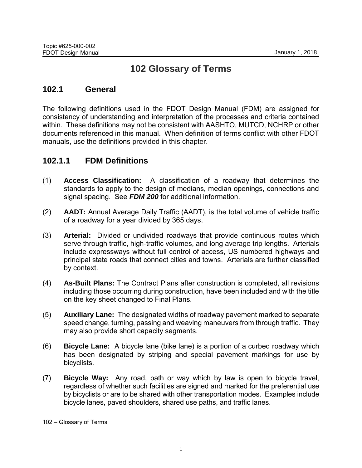## **102 Glossary of Terms**

## **102.1 General**

The following definitions used in the FDOT Design Manual (FDM) are assigned for consistency of understanding and interpretation of the processes and criteria contained within. These definitions may not be consistent with AASHTO, MUTCD, NCHRP or other documents referenced in this manual. When definition of terms conflict with other FDOT manuals, use the definitions provided in this chapter.

## **102.1.1 FDM Definitions**

- (1) **Access Classification:** A classification of a roadway that determines the standards to apply to the design of medians, median openings, connections and signal spacing. See *FDM 200* for additional information.
- (2) **AADT:** Annual Average Daily Traffic (AADT), is the total volume of vehicle traffic of a roadway for a year divided by 365 days.
- (3) **Arterial:** Divided or undivided roadways that provide continuous routes which serve through traffic, high-traffic volumes, and long average trip lengths. Arterials include expressways without full control of access, US numbered highways and principal state roads that connect cities and towns. Arterials are further classified by context.
- (4) **As-Built Plans:** The Contract Plans after construction is completed, all revisions including those occurring during construction, have been included and with the title on the key sheet changed to Final Plans.
- (5) **Auxiliary Lane:** The designated widths of roadway pavement marked to separate speed change, turning, passing and weaving maneuvers from through traffic. They may also provide short capacity segments.
- (6) **Bicycle Lane:** A bicycle lane (bike lane) is a portion of a curbed roadway which has been designated by striping and special pavement markings for use by bicyclists.
- (7) **Bicycle Way:** Any road, path or way which by law is open to bicycle travel, regardless of whether such facilities are signed and marked for the preferential use by bicyclists or are to be shared with other transportation modes. Examples include bicycle lanes, paved shoulders, shared use paths, and traffic lanes.

<sup>102</sup> – Glossary of Terms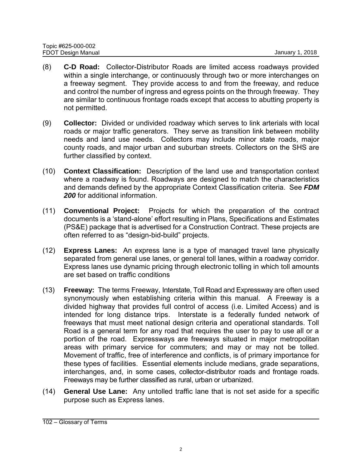- (8) **C-D Road:** Collector-Distributor Roads are limited access roadways provided within a single interchange, or continuously through two or more interchanges on a freeway segment. They provide access to and from the freeway, and reduce and control the number of ingress and egress points on the through freeway. They are similar to continuous frontage roads except that access to abutting property is not permitted.
- (9) **Collector:** Divided or undivided roadway which serves to link arterials with local roads or major traffic generators. They serve as transition link between mobility needs and land use needs. Collectors may include minor state roads, major county roads, and major urban and suburban streets. Collectors on the SHS are further classified by context.
- (10) **Context Classification:** Description of the land use and transportation context where a roadway is found. Roadways are designed to match the characteristics and demands defined by the appropriate Context Classification criteria. See *FDM 200* for additional information.
- (11) **Conventional Project:** Projects for which the preparation of the contract documents is a 'stand-alone' effort resulting in Plans, Specifications and Estimates (PS&E) package that is advertised for a Construction Contract. These projects are often referred to as "design-bid-build" projects.
- (12) **Express Lanes:** An express lane is a type of managed travel lane physically separated from general use lanes, or general toll lanes, within a roadway corridor. Express lanes use dynamic pricing through electronic tolling in which toll amounts are set based on traffic conditions
- (13) **Freeway:** The terms Freeway, Interstate, Toll Road and Expressway are often used synonymously when establishing criteria within this manual. A Freeway is a divided highway that provides full control of access (i.e. Limited Access) and is intended for long distance trips. Interstate is a federally funded network of freeways that must meet national design criteria and operational standards. Toll Road is a general term for any road that requires the user to pay to use all or a portion of the road. Expressways are freeways situated in major metropolitan areas with primary service for commuters; and may or may not be tolled. Movement of traffic, free of interference and conflicts, is of primary importance for these types of facilities. Essential elements include medians, grade separations, interchanges, and, in some cases, collector-distributor roads and frontage roads. Freeways may be further classified as rural, urban or urbanized.
- (14) **General Use Lane:** Any untolled traffic lane that is not set aside for a specific purpose such as Express lanes.

<sup>102</sup> – Glossary of Terms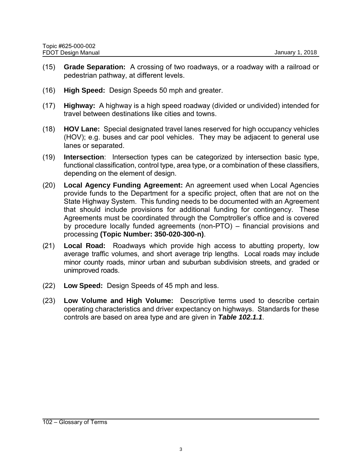- (15) **Grade Separation:** A crossing of two roadways, or a roadway with a railroad or pedestrian pathway, at different levels.
- (16) **High Speed:** Design Speeds 50 mph and greater.
- (17) **Highway:** A highway is a high speed roadway (divided or undivided) intended for travel between destinations like cities and towns.
- (18) **HOV Lane:** Special designated travel lanes reserved for high occupancy vehicles (HOV); e.g. buses and car pool vehicles. They may be adjacent to general use lanes or separated.
- (19) **Intersection**: Intersection types can be categorized by intersection basic type, functional classification, control type, area type, or a combination of these classifiers, depending on the element of design.
- (20) **Local Agency Funding Agreement:** An agreement used when Local Agencies provide funds to the Department for a specific project, often that are not on the State Highway System. This funding needs to be documented with an Agreement that should include provisions for additional funding for contingency. These Agreements must be coordinated through the Comptroller's office and is covered by procedure locally funded agreements (non-PTO) – financial provisions and processing **(Topic Number: 350-020-300-n)**.
- (21) **Local Road:** Roadways which provide high access to abutting property, low average traffic volumes, and short average trip lengths. Local roads may include minor county roads, minor urban and suburban subdivision streets, and graded or unimproved roads.
- (22) **Low Speed:** Design Speeds of 45 mph and less.
- (23) **Low Volume and High Volume:** Descriptive terms used to describe certain operating characteristics and driver expectancy on highways. Standards for these controls are based on area type and are given in *Table 102.1.1*.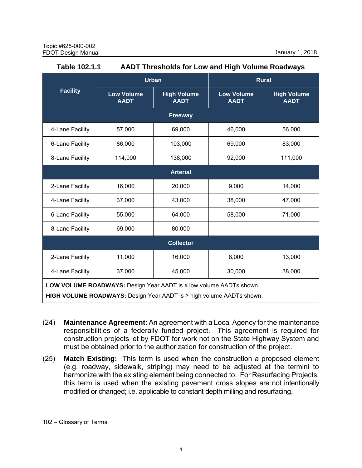| Table 102.1.1                                                                                                                              | <b>AADT Thresholds for Low and High Volume Roadways</b> |                                   |                                  |                                   |
|--------------------------------------------------------------------------------------------------------------------------------------------|---------------------------------------------------------|-----------------------------------|----------------------------------|-----------------------------------|
| <b>Facility</b>                                                                                                                            | <b>Urban</b>                                            |                                   | <b>Rural</b>                     |                                   |
|                                                                                                                                            | <b>Low Volume</b><br><b>AADT</b>                        | <b>High Volume</b><br><b>AADT</b> | <b>Low Volume</b><br><b>AADT</b> | <b>High Volume</b><br><b>AADT</b> |
| Freeway                                                                                                                                    |                                                         |                                   |                                  |                                   |
| 4-Lane Facility                                                                                                                            | 57,000                                                  | 69,000                            | 46,000                           | 56,000                            |
| 6-Lane Facility                                                                                                                            | 86,000                                                  | 103,000                           | 69,000                           | 83,000                            |
| 8-Lane Facility                                                                                                                            | 114,000                                                 | 138,000                           | 92,000                           | 111,000                           |
| <b>Arterial</b>                                                                                                                            |                                                         |                                   |                                  |                                   |
| 2-Lane Facility                                                                                                                            | 16,000                                                  | 20,000                            | 9,000                            | 14,000                            |
| 4-Lane Facility                                                                                                                            | 37,000                                                  | 43,000                            | 38,000                           | 47,000                            |
| 6-Lane Facility                                                                                                                            | 55,000                                                  | 64,000                            | 58,000                           | 71,000                            |
| 8-Lane Facility                                                                                                                            | 69,000                                                  | 80,000                            |                                  |                                   |
| <b>Collector</b>                                                                                                                           |                                                         |                                   |                                  |                                   |
| 2-Lane Facility                                                                                                                            | 11,000                                                  | 16,000                            | 8,000                            | 13,000                            |
| 4-Lane Facility                                                                                                                            | 37,000                                                  | 45,000                            | 30,000                           | 38,000                            |
| LOW VOLUME ROADWAYS: Design Year AADT is ≤ low volume AADTs shown.<br>HIGH VOLUME ROADWAYS: Design Year AADT is ≥ high volume AADTs shown. |                                                         |                                   |                                  |                                   |

- (24) **Maintenance Agreement**: An agreement with a Local Agency for the maintenance responsibilities of a federally funded project. This agreement is required for construction projects let by FDOT for work not on the State Highway System and must be obtained prior to the authorization for construction of the project.
- (25) **Match Existing:** This term is used when the construction a proposed element (e.g. roadway, sidewalk, striping) may need to be adjusted at the termini to harmonize with the existing element being connected to. For Resurfacing Projects, this term is used when the existing pavement cross slopes are not intentionally modified or changed; i.e. applicable to constant depth milling and resurfacing.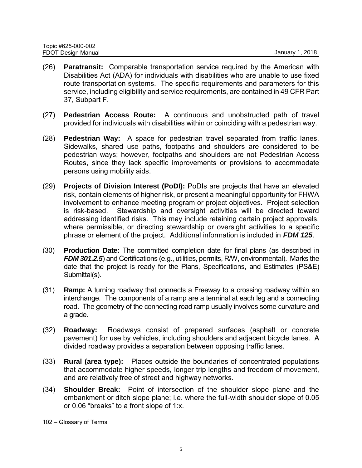- (26) **Paratransit:** Comparable transportation service required by the American with Disabilities Act (ADA) for individuals with disabilities who are unable to use fixed route transportation systems. The specific requirements and parameters for this service, including eligibility and service requirements, are contained in 49 CFR Part 37, Subpart F.
- (27) **Pedestrian Access Route:** A continuous and unobstructed path of travel provided for individuals with disabilities within or coinciding with a pedestrian way.
- (28) **Pedestrian Way:** A space for pedestrian travel separated from traffic lanes. Sidewalks, shared use paths, footpaths and shoulders are considered to be pedestrian ways; however, footpaths and shoulders are not Pedestrian Access Routes, since they lack specific improvements or provisions to accommodate persons using mobility aids.
- (29) **Projects of Division Interest (PoDI):** PoDIs are projects that have an elevated risk, contain elements of higher risk, or present a meaningful opportunity for FHWA involvement to enhance meeting program or project objectives. Project selection is risk-based. Stewardship and oversight activities will be directed toward addressing identified risks. This may include retaining certain project approvals, where permissible, or directing stewardship or oversight activities to a specific phrase or element of the project. Additional information is included in *FDM 125*.
- (30) **Production Date:** The committed completion date for final plans (as described in *FDM 301.2.5*) and Certifications (e.g., utilities, permits, R/W, environmental). Marks the date that the project is ready for the Plans, Specifications, and Estimates (PS&E) Submittal(s).
- (31) **Ramp:** A turning roadway that connects a Freeway to a crossing roadway within an interchange. The components of a ramp are a terminal at each leg and a connecting road. The geometry of the connecting road ramp usually involves some curvature and a grade.
- (32) **Roadway:** Roadways consist of prepared surfaces (asphalt or concrete pavement) for use by vehicles, including shoulders and adjacent bicycle lanes. A divided roadway provides a separation between opposing traffic lanes.
- (33) **Rural (area type):** Places outside the boundaries of concentrated populations that accommodate higher speeds, longer trip lengths and freedom of movement, and are relatively free of street and highway networks.
- (34) **Shoulder Break:** Point of intersection of the shoulder slope plane and the embankment or ditch slope plane; i.e. where the full-width shoulder slope of 0.05 or 0.06 "breaks" to a front slope of 1:x.

<sup>102</sup> – Glossary of Terms